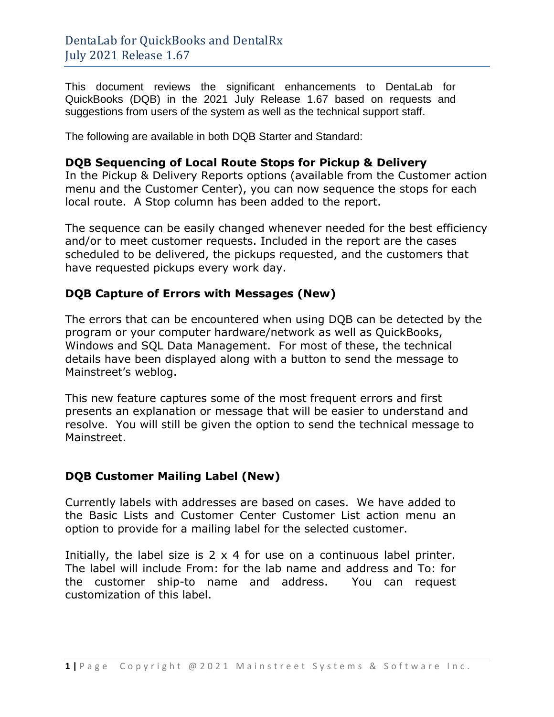This document reviews the significant enhancements to DentaLab for QuickBooks (DQB) in the 2021 July Release 1.67 based on requests and suggestions from users of the system as well as the technical support staff.

The following are available in both DQB Starter and Standard:

#### **DQB Sequencing of Local Route Stops for Pickup & Delivery**

In the Pickup & Delivery Reports options (available from the Customer action menu and the Customer Center), you can now sequence the stops for each local route. A Stop column has been added to the report.

The sequence can be easily changed whenever needed for the best efficiency and/or to meet customer requests. Included in the report are the cases scheduled to be delivered, the pickups requested, and the customers that have requested pickups every work day.

### **DQB Capture of Errors with Messages (New)**

The errors that can be encountered when using DQB can be detected by the program or your computer hardware/network as well as QuickBooks, Windows and SQL Data Management. For most of these, the technical details have been displayed along with a button to send the message to Mainstreet's weblog.

This new feature captures some of the most frequent errors and first presents an explanation or message that will be easier to understand and resolve. You will still be given the option to send the technical message to Mainstreet.

### **DQB Customer Mailing Label (New)**

Currently labels with addresses are based on cases. We have added to the Basic Lists and Customer Center Customer List action menu an option to provide for a mailing label for the selected customer.

Initially, the label size is  $2 \times 4$  for use on a continuous label printer. The label will include From: for the lab name and address and To: for the customer ship-to name and address. You can request customization of this label.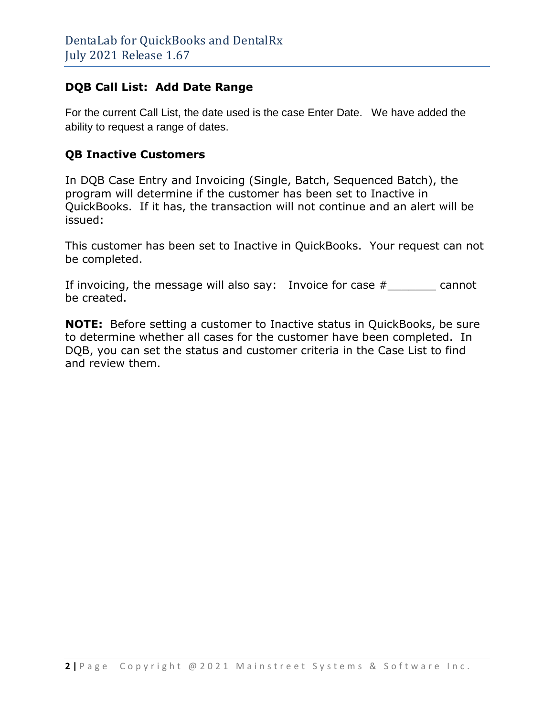## **DQB Call List: Add Date Range**

For the current Call List, the date used is the case Enter Date. We have added the ability to request a range of dates.

## **QB Inactive Customers**

In DQB Case Entry and Invoicing (Single, Batch, Sequenced Batch), the program will determine if the customer has been set to Inactive in QuickBooks. If it has, the transaction will not continue and an alert will be issued:

This customer has been set to Inactive in QuickBooks. Your request can not be completed.

If invoicing, the message will also say: Invoice for case #\_\_\_\_\_\_\_ cannot be created.

**NOTE:** Before setting a customer to Inactive status in QuickBooks, be sure to determine whether all cases for the customer have been completed. In DQB, you can set the status and customer criteria in the Case List to find and review them.